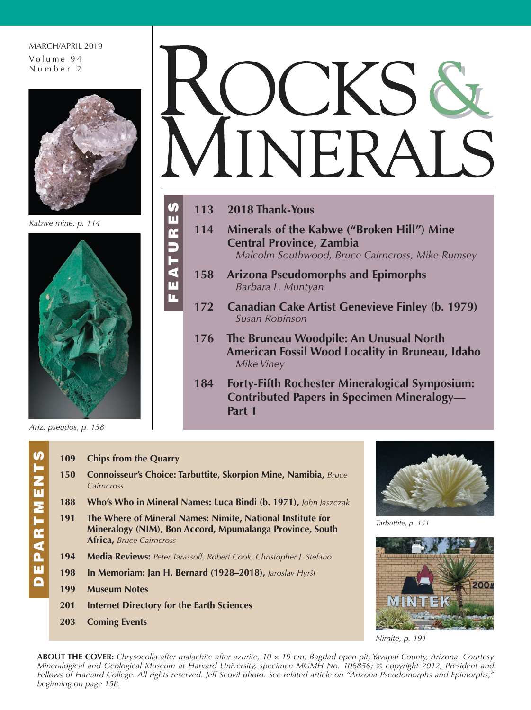## MARCH/APRIL 2019 Volume 9 4 Number 2



*Kabwe mine, p. 114*



*Ariz. pseudos, p. 158*

## NFR/

**113 2018 Thank-Yous**

FEATURES

 $\overline{\mathbf{u}}$ p.

**S** ш  $\overline{\mathbf{r}}$ 

- **114 Minerals of the Kabwe ("Broken Hill") Mine Central Province, Zambia**  *Malcolm Southwood, Bruce Cairncross, Mike Rumsey*
- **158 Arizona Pseudomorphs and Epimorphs**  *Barbara L. Muntyan*
- **172 Canadian Cake Artist Genevieve Finley (b. 1979)**  *Susan Robinson*
- **176 The Bruneau Woodpile: An Unusual North American Fossil Wood Locality in Bruneau, Idaho**  *Mike Viney*
- **184 Forty-Fifth Rochester Mineralogical Symposium: Contributed Papers in Specimen Mineralogy— Part 1**
- 
- <u>U</u> DEPARTMENTS PARTMEN ш C
- **109 Chips from the Quarry 150 Connoisseur's Choice: Tarbuttite, Skorpion Mine, Namibia,** *Bruce Cairncross* **188 Who's Who in Mineral Names: Luca Bindi (b. 1971),** *John Jaszczak* **191 The Where of Mineral Names: Nimite, National Institute for Mineralogy (NIM), Bon Accord, Mpumalanga Province, South Africa,** *Bruce Cairncross* **194 Media Reviews:** *Peter Tarassoff, Robert Cook, Christopher J. Stefano* **198 In Memoriam: Jan H. Bernard (1928–2018),** *Jaroslav Hyršl* **199 Museum Notes**
- **201 Internet Directory for the Earth Sciences**
- **203 Coming Events**



*Tarbuttite, p. 151* 



*Nimite, p. 191*

**ABOUT THE COVER:** *Chrysocolla after malachite after azurite, 10 × 19 cm, Bagdad open pit, Yavapai County, Arizona. Courtesy Mineralogical and Geological Museum at Harvard University, specimen MGMH No. 106856; © copyright 2012, President and Fellows of Harvard College. All rights reserved. Jeff Scovil photo. See related article on "Arizona Pseudomorphs and Epimorphs," beginning on page 158.*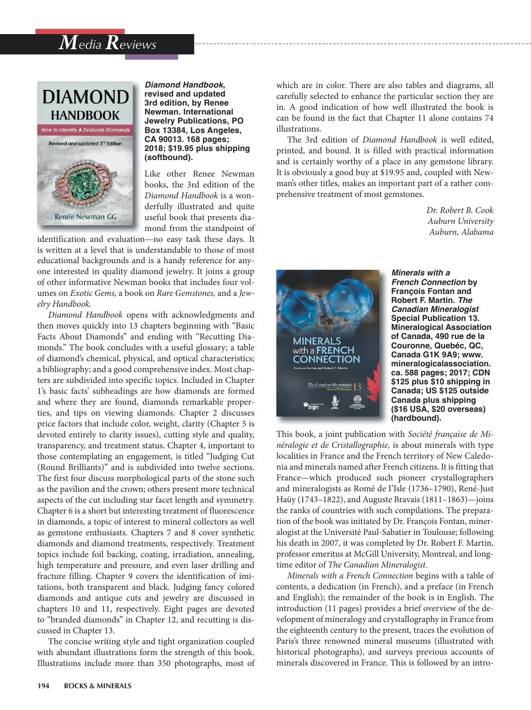## *Media Reviews*



*Diamond Handbook***, revised and updated 3rd edition, by Renee Newman. International Jewelry Publications, PO Box 13384, Los Angeles, CA 90013. 168 pages; 2018; \$19.95 plus shipping (softbound).** 

Like other Renee Newman books, the 3rd edition of the *Diamond Handbook* is a wonderfully illustrated and quite useful book that presents diamond from the standpoint of

identification and evaluation—no easy task these days. It is written at a level that is understandable to those of most educational backgrounds and is a handy reference for anyone interested in quality diamond jewelry. It joins a group of other informative Newman books that includes four volumes on *Exotic Gems,* a book on *Rare Gemstones,* and a *Jewelry Handbook.*

*Diamond Handbook* opens with acknowledgments and then moves quickly into 13 chapters beginning with "Basic Facts About Diamonds" and ending with "Recutting Diamonds." The book concludes with a useful glossary; a table of diamond's chemical, physical, and optical characteristics; a bibliography; and a good comprehensive index. Most chapters are subdivided into specific topics. Included in Chapter 1's basic facts' subheadings are how diamonds are formed and where they are found, diamonds remarkable properties, and tips on viewing diamonds. Chapter 2 discusses price factors that include color, weight, clarity (Chapter 5 is devoted entirely to clarity issues), cutting style and quality, transparency, and treatment status. Chapter 4, important to those contemplating an engagement, is titled "Judging Cut (Round Brilliants)" and is subdivided into twelve sections. The first four discuss morphological parts of the stone such as the pavilion and the crown; others present more technical aspects of the cut including star facet length and symmetry. Chapter 6 is a short but interesting treatment of fluorescence in diamonds, a topic of interest to mineral collectors as well as gemstone enthusiasts. Chapters 7 and 8 cover synthetic diamonds and diamond treatments, respectively. Treatment topics include foil backing, coating, irradiation, annealing, high temperature and pressure, and even laser drilling and fracture filling. Chapter 9 covers the identification of imitations, both transparent and black. Judging fancy colored diamonds and antique cuts and jewelry are discussed in chapters 10 and 11, respectively. Eight pages are devoted to "branded diamonds" in Chapter 12, and recutting is discussed in Chapter 13.

The concise writing style and tight organization coupled with abundant illustrations form the strength of this book. Illustrations include more than 350 photographs, most of which are in color. There are also tables and diagrams, all carefully selected to enhance the particular section they are in. A good indication of how well illustrated the book is can be found in the fact that Chapter 11 alone contains 74 illustrations.

The 3rd edition of *Diamond Handbook* is well edited, printed, and bound. It is filled with practical information and is certainly worthy of a place in any gemstone library. It is obviously a good buy at \$19.95 and, coupled with Newman's other titles, makes an important part of a rather comprehensive treatment of most gemstones.

> *Dr. Robert B. Cook Auburn University Auburn, Alabama*



*Minerals with a French Connection* **by François Fontan and Robert F. Martin.** *The Canadian Mineralogist*  **Special Publication 13. Mineralogical Association of Canada, 490 rue de la Couronne, Quebéc, QC, Canada G1K 9A9; www. mineralogicalassociation. ca. 588 pages; 2017; CDN \$125 plus \$10 shipping in Canada; US \$125 outside Canada plus shipping (\$16 USA, \$20 overseas) (hardbound).**

This book, a joint publication with *Société française de Minéralogie et de Cristallographie,* is about minerals with type localities in France and the French territory of New Caledonia and minerals named after French citizens. It is fitting that France—which produced such pioneer crystallographers and mineralogists as Romé de I'Isle (1736–1790), René-Just Haüy (1743–1822), and Auguste Bravais (1811–1863)—joins the ranks of countries with such compilations. The preparation of the book was initiated by Dr. François Fontan, mineralogist at the Université Paul-Sabatier in Toulouse; following his death in 2007, it was completed by Dr. Robert F. Martin, professor emeritus at McGill University, Montreal, and longtime editor of *The Canadian Mineralogist*.

*Minerals with a French Connection* begins with a table of contents, a dedication (in French), and a preface (in French and English); the remainder of the book is in English. The introduction (11 pages) provides a brief overview of the development of mineralogy and crystallography in France from the eighteenth century to the present, traces the evolution of Paris's three renowned mineral museums (illustrated with historical photographs), and surveys previous accounts of minerals discovered in France. This is followed by an intro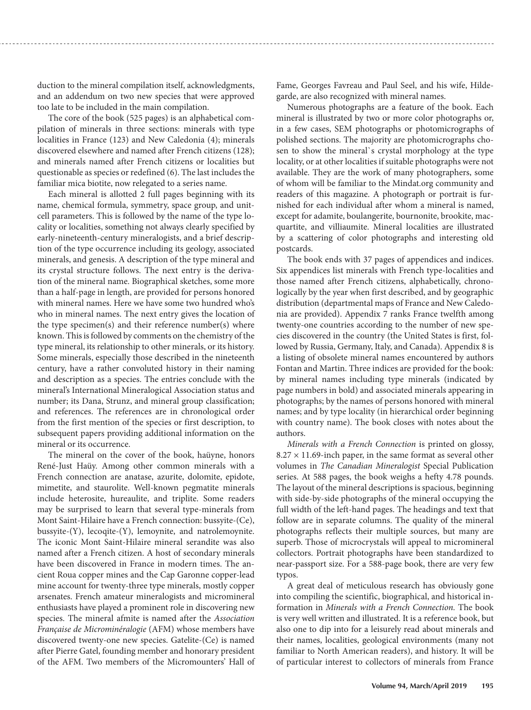duction to the mineral compilation itself, acknowledgments, and an addendum on two new species that were approved too late to be included in the main compilation.

The core of the book (525 pages) is an alphabetical compilation of minerals in three sections: minerals with type localities in France (123) and New Caledonia (4); minerals discovered elsewhere and named after French citizens (128); and minerals named after French citizens or localities but questionable as species or redefined (6). The last includes the familiar mica biotite, now relegated to a series name.

Each mineral is allotted 2 full pages beginning with its name, chemical formula, symmetry, space group, and unitcell parameters. This is followed by the name of the type locality or localities, something not always clearly specified by early-nineteenth-century mineralogists, and a brief description of the type occurrence including its geology, associated minerals, and genesis. A description of the type mineral and its crystal structure follows. The next entry is the derivation of the mineral name. Biographical sketches, some more than a half-page in length, are provided for persons honored with mineral names. Here we have some two hundred who's who in mineral names. The next entry gives the location of the type specimen(s) and their reference number(s) where known. This is followed by comments on the chemistry of the type mineral, its relationship to other minerals, or its history. Some minerals, especially those described in the nineteenth century, have a rather convoluted history in their naming and description as a species. The entries conclude with the mineral's International Mineralogical Association status and number; its Dana, Strunz, and mineral group classification; and references. The references are in chronological order from the first mention of the species or first description, to subsequent papers providing additional information on the mineral or its occurrence.

The mineral on the cover of the book, haüyne, honors René-Just Haüy. Among other common minerals with a French connection are anatase, azurite, dolomite, epidote, mimetite, and staurolite. Well-known pegmatite minerals include heterosite, hureaulite, and triplite. Some readers may be surprised to learn that several type-minerals from Mont Saint-Hilaire have a French connection: bussyite-(Ce), bussyite-(Y), lecoqite-(Y), lemoynite, and natrolemoynite. The iconic Mont Saint-Hilaire mineral serandite was also named after a French citizen. A host of secondary minerals have been discovered in France in modern times. The ancient Roua copper mines and the Cap Garonne copper-lead mine account for twenty-three type minerals, mostly copper arsenates. French amateur mineralogists and micromineral enthusiasts have played a prominent role in discovering new species. The mineral afmite is named after the *Association Française de Microminéralogie* (AFM) whose members have discovered twenty-one new species. Gatelite-(Ce) is named after Pierre Gatel, founding member and honorary president of the AFM. Two members of the Micromounters' Hall of Fame, Georges Favreau and Paul Seel, and his wife, Hildegarde, are also recognized with mineral names.

Numerous photographs are a feature of the book. Each mineral is illustrated by two or more color photographs or, in a few cases, SEM photographs or photomicrographs of polished sections. The majority are photomicrographs chosen to show the mineral`s crystal morphology at the type locality, or at other localities if suitable photographs were not available. They are the work of many photographers, some of whom will be familiar to the Mindat.org community and readers of this magazine. A photograph or portrait is furnished for each individual after whom a mineral is named, except for adamite, boulangerite, bournonite, brookite, macquartite, and villiaumite. Mineral localities are illustrated by a scattering of color photographs and interesting old postcards.

The book ends with 37 pages of appendices and indices. Six appendices list minerals with French type-localities and those named after French citizens, alphabetically, chronologically by the year when first described, and by geographic distribution (departmental maps of France and New Caledonia are provided). Appendix 7 ranks France twelfth among twenty-one countries according to the number of new species discovered in the country (the United States is first, followed by Russia, Germany, Italy, and Canada). Appendix 8 is a listing of obsolete mineral names encountered by authors Fontan and Martin. Three indices are provided for the book: by mineral names including type minerals (indicated by page numbers in bold) and associated minerals appearing in photographs; by the names of persons honored with mineral names; and by type locality (in hierarchical order beginning with country name). The book closes with notes about the authors.

*Minerals with a French Connection* is printed on glossy,  $8.27 \times 11.69$ -inch paper, in the same format as several other volumes in *The Canadian Mineralogist* Special Publication series. At 588 pages, the book weighs a hefty 4.78 pounds. The layout of the mineral descriptions is spacious, beginning with side-by-side photographs of the mineral occupying the full width of the left-hand pages. The headings and text that follow are in separate columns. The quality of the mineral photographs reflects their multiple sources, but many are superb. Those of microcrystals will appeal to micromineral collectors. Portrait photographs have been standardized to near-passport size. For a 588-page book, there are very few typos.

A great deal of meticulous research has obviously gone into compiling the scientific, biographical, and historical information in *Minerals with a French Connection.* The book is very well written and illustrated. It is a reference book, but also one to dip into for a leisurely read about minerals and their names, localities, geological environments (many not familiar to North American readers), and history. It will be of particular interest to collectors of minerals from France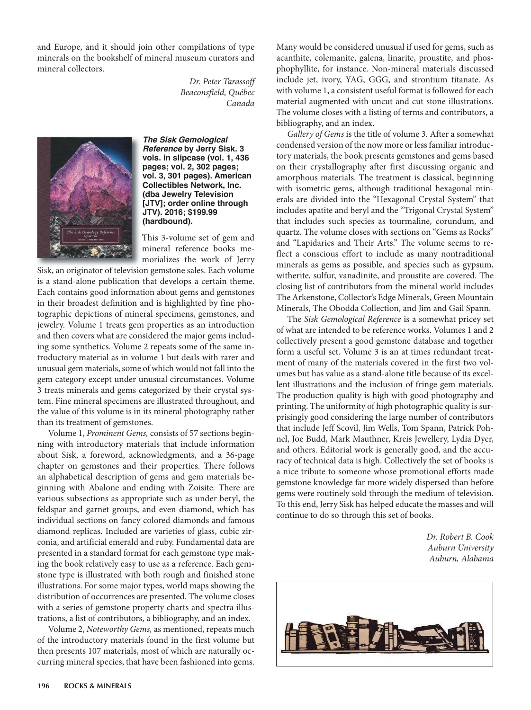and Europe, and it should join other compilations of type minerals on the bookshelf of mineral museum curators and mineral collectors.

> *Dr. Peter Tarassoff Beaconsfield, Québec Canada*



*The Sisk Gemological Reference* **by Jerry Sisk. 3 vols. in slipcase (vol. 1, 436 pages; vol. 2, 302 pages; vol. 3, 301 pages). American Collectibles Network, Inc. (dba Jewelry Television [JTV]; order online through JTV). 2016; \$199.99 (hardbound).** 

This 3-volume set of gem and mineral reference books memorializes the work of Jerry

Sisk, an originator of television gemstone sales. Each volume is a stand-alone publication that develops a certain theme. Each contains good information about gems and gemstones in their broadest definition and is highlighted by fine photographic depictions of mineral specimens, gemstones, and jewelry. Volume 1 treats gem properties as an introduction and then covers what are considered the major gems including some synthetics. Volume 2 repeats some of the same introductory material as in volume 1 but deals with rarer and unusual gem materials, some of which would not fall into the gem category except under unusual circumstances. Volume 3 treats minerals and gems categorized by their crystal system. Fine mineral specimens are illustrated throughout, and the value of this volume is in its mineral photography rather than its treatment of gemstones.

Volume 1, *Prominent Gems,* consists of 57 sections beginning with introductory materials that include information about Sisk, a foreword, acknowledgments, and a 36-page chapter on gemstones and their properties. There follows an alphabetical description of gems and gem materials beginning with Abalone and ending with Zoisite. There are various subsections as appropriate such as under beryl, the feldspar and garnet groups, and even diamond, which has individual sections on fancy colored diamonds and famous diamond replicas. Included are varieties of glass, cubic zirconia, and artificial emerald and ruby. Fundamental data are presented in a standard format for each gemstone type making the book relatively easy to use as a reference. Each gemstone type is illustrated with both rough and finished stone illustrations. For some major types, world maps showing the distribution of occurrences are presented. The volume closes with a series of gemstone property charts and spectra illustrations, a list of contributors, a bibliography, and an index.

Volume 2, *Noteworthy Gems,* as mentioned, repeats much of the introductory materials found in the first volume but then presents 107 materials, most of which are naturally occurring mineral species, that have been fashioned into gems. Many would be considered unusual if used for gems, such as acanthite, colemanite, galena, linarite, proustite, and phosphophyllite, for instance. Non-mineral materials discussed include jet, ivory, YAG, GGG, and strontium titanate. As with volume 1, a consistent useful format is followed for each material augmented with uncut and cut stone illustrations. The volume closes with a listing of terms and contributors, a bibliography, and an index.

*Gallery of Gems* is the title of volume 3*.* After a somewhat condensed version of the now more or less familiar introductory materials, the book presents gemstones and gems based on their crystallography after first discussing organic and amorphous materials. The treatment is classical, beginning with isometric gems, although traditional hexagonal minerals are divided into the "Hexagonal Crystal System" that includes apatite and beryl and the "Trigonal Crystal System" that includes such species as tourmaline, corundum, and quartz. The volume closes with sections on "Gems as Rocks" and "Lapidaries and Their Arts." The volume seems to reflect a conscious effort to include as many nontraditional minerals as gems as possible, and species such as gypsum, witherite, sulfur, vanadinite, and proustite are covered. The closing list of contributors from the mineral world includes The Arkenstone, Collector's Edge Minerals, Green Mountain Minerals, The Obodda Collection, and Jim and Gail Spann.

The *Sisk Gemological Reference* is a somewhat pricey set of what are intended to be reference works. Volumes 1 and 2 collectively present a good gemstone database and together form a useful set. Volume 3 is an at times redundant treatment of many of the materials covered in the first two volumes but has value as a stand-alone title because of its excellent illustrations and the inclusion of fringe gem materials. The production quality is high with good photography and printing. The uniformity of high photographic quality is surprisingly good considering the large number of contributors that include Jeff Scovil, Jim Wells, Tom Spann, Patrick Pohnel, Joe Budd, Mark Mauthner, Kreis Jewellery, Lydia Dyer, and others. Editorial work is generally good, and the accuracy of technical data is high. Collectively the set of books is a nice tribute to someone whose promotional efforts made gemstone knowledge far more widely dispersed than before gems were routinely sold through the medium of television. To this end, Jerry Sisk has helped educate the masses and will continue to do so through this set of books.

> *Dr. Robert B. Cook Auburn University Auburn, Alabama*